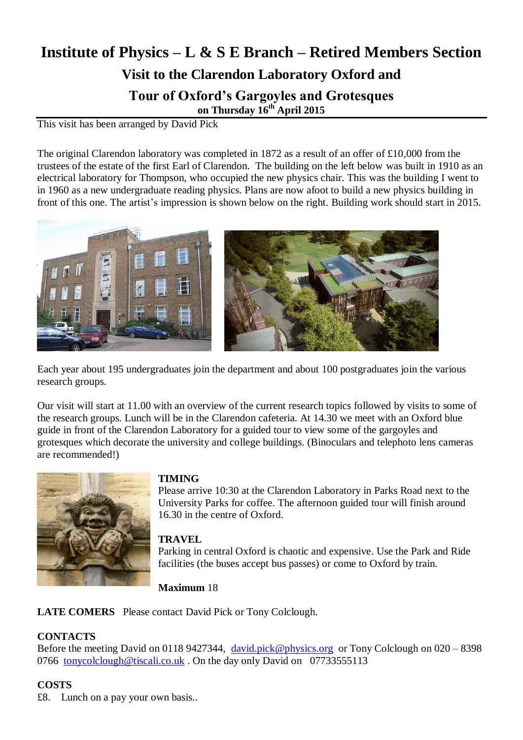# **Institute of Physics – L & S E Branch – Retired Members Section Visit to the Clarendon Laboratory Oxford and Tour of Oxford's Gargoyles and Grotesques on Thursday 16 th April 2015**

This visit has been arranged by David Pick

The original Clarendon laboratory was completed in 1872 as a result of an offer of £10,000 from the trustees of the estate of the first Earl of Clarendon. The building on the left below was built in 1910 as an electrical laboratory for Thompson, who occupied the new physics chair. This was the building I went to in 1960 as a new undergraduate reading physics. Plans are now afoot to build a new physics building in front of this one. The artist's impression is shown below on the right. Building work should start in 2015.



Each year about 195 undergraduates join the department and about 100 postgraduates join the various research groups.

Our visit will start at 11.00 with an overview of the current research topics followed by visits to some of the research groups. Lunch will be in the Clarendon cafeteria. At 14.30 we meet with an Oxford blue guide in front of the Clarendon Laboratory for a guided tour to view some of the gargoyles and grotesques which decorate the university and college buildings. (Binoculars and telephoto lens cameras are recommended!)



## **TIMING**

Please arrive 10:30 at the Clarendon Laboratory in Parks Road next to the University Parks for coffee. The afternoon guided tour will finish around 16.30 in the centre of Oxford.

### **TRAVEL**

Parking in central Oxford is chaotic and expensive. Use the Park and Ride facilities (the buses accept bus passes) or come to Oxford by train.

**Maximum** 18

**LATE COMERS** Please contact David Pick or Tony Colclough.

#### **CONTACTS**

Before the meeting David on 0118 9427344, [david.pick@physics.org](mailto:david.pick@physics.org) or Tony Colclough on 020 – 8398 0766 [tonycolclough@tiscali.co.uk](mailto:tonycolclough@tiscali.co.uk) . On the day only David on 07733555113

### **COSTS**

£8. Lunch on a pay your own basis..